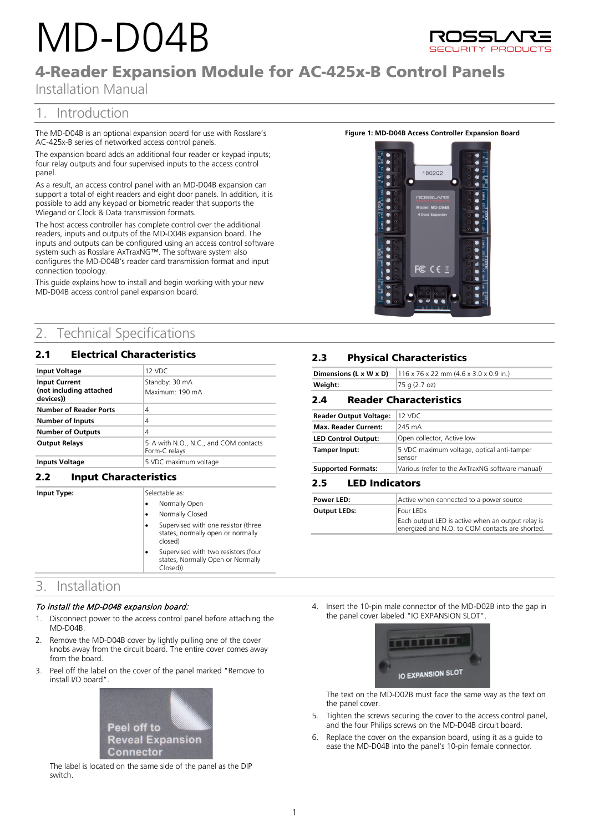# MD-D04B



# 4-Reader Expansion Module for AC-425x-B Control Panels

Installation Manual

# 1. Introduction

The MD-D04B is an optional expansion board for use with Rosslare's AC-425x-B series of networked access control panels.

The expansion board adds an additional four reader or keypad inputs; four relay outputs and four supervised inputs to the access control panel.

As a result, an access control panel with an MD-D04B expansion can support a total of eight readers and eight door panels. In addition, it is possible to add any keypad or biometric reader that supports the Wiegand or Clock & Data transmission formats.

The host access controller has complete control over the additional readers, inputs and outputs of the MD-D04B expansion board. The inputs and outputs can be configured using an access control software system such as Rosslare AxTraxNG™. The software system also configures the MD-D04B's reader card transmission format and input connection topology.

This guide explains how to install and begin working with your new MD-D04B access control panel expansion board.

# 2. Technical Specifications

# 2.1 Electrical Characteristics

| 12 VDC                                                 |
|--------------------------------------------------------|
| Standby: 30 mA<br>Maximum: 190 mA                      |
| 4                                                      |
| 4                                                      |
| 4                                                      |
| 5 A with N.O., N.C., and COM contacts<br>Form-C relays |
| 5 VDC maximum voltage                                  |
|                                                        |

## 2.2 **Input Charact**

**Input Type:** 

| teristics |                |                                                                                      |  |  |
|-----------|----------------|--------------------------------------------------------------------------------------|--|--|
|           | Selectable as: |                                                                                      |  |  |
|           |                | Normally Open                                                                        |  |  |
|           |                | Normally Closed                                                                      |  |  |
|           |                | Supervised with one resistor (three<br>states, normally open or normally<br>closed)  |  |  |
|           |                | Supervised with two resistors (four<br>states, Normally Open or Normally<br>Closed)) |  |  |

# 3. Installation

#### To install the MD-D04B expansion board:

- 1. Disconnect power to the access control panel before attaching the MD-D04B.
- 2. Remove the MD-D04B cover by lightly pulling one of the cover knobs away from the circuit board. The entire cover comes away from the board.
- 3. Peel off the label on the cover of the panel marked "Remove to install I/O board".



The label is located on the same side of the panel as the DIP switch.

#### **Figure 1: MD-D04B Access Controller Expansion Board**



## **2.3** Physical Characteristics

|         | <b>Dimensions (L x W x D)</b> $ 116 \times 76 \times 22 \text{ mm}$ (4.6 x 3.0 x 0.9 in.) |
|---------|-------------------------------------------------------------------------------------------|
| Weight: | $ 75 \text{ q} (2.7 \text{ oz})$                                                          |

## 2.4 **Reader Characteristics**

| <b>Reader Output Voltage:</b> | 12 VDC                                               |
|-------------------------------|------------------------------------------------------|
| Max, Reader Current:          | 245 mA                                               |
| <b>LED Control Output:</b>    | Open collector, Active low                           |
| Tamper Input:                 | 5 VDC maximum voltage, optical anti-tamper<br>sensor |
| <b>Supported Formats:</b>     | Various (refer to the AxTraxNG software manual)      |

#### 2.5 **LED Indicators**

| Power LED:   | Active when connected to a power source                                                              |
|--------------|------------------------------------------------------------------------------------------------------|
| Output LEDs: | Four LEDs                                                                                            |
|              | Each output LED is active when an output relay is<br>energized and N.O. to COM contacts are shorted. |

4. Insert the 10-pin male connector of the MD-D02B into the gap in the panel cover labeled "IO EXPANSION SLOT".



The text on the MD-D02B must face the same way as the text on the panel cover.

- 5. Tighten the screws securing the cover to the access control panel, and the four Philips screws on the MD-D04B circuit board.
- 6. Replace the cover on the expansion board, using it as a guide to ease the MD-D04B into the panel's 10-pin female connector.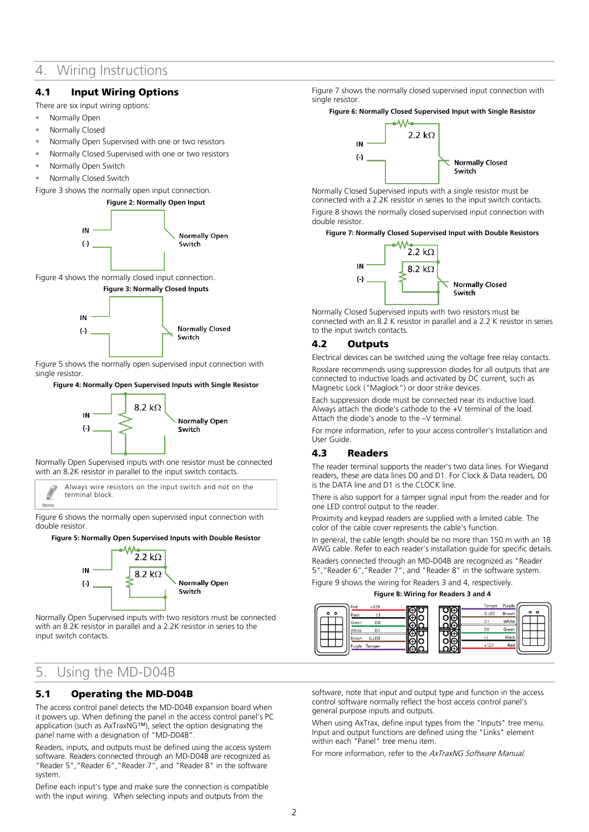# 4. Wiring Instructions

## 4.1 Input Wiring Options

There are six input wiring options:

- Normally Open
- Normally Closed
- Normally Open Supervised with one or two resistors
- Normally Closed Supervised with one or two resistors
- Normally Open Switch
- Normally Closed Switch

<span id="page-1-0"></span>[Figure 3](#page-1-0) shows the normally open input connection.



<span id="page-1-1"></span>[Figure 4](#page-1-1) shows the normally closed input connection.



[Figure 5](#page-1-2) shows the normally open supervised input connection with single resistor.

#### <span id="page-1-2"></span>**Figure 4: Normally Open Supervised Inputs with Single Resistor**



Normally Open Supervised inputs with one resistor must be connected with an 8.2K resistor in parallel to the input switch contacts.

Always wire resistors on the input switch and not on the terminal block. Note

[Figure 6](#page-1-3) shows the normally open supervised input connection with double resistor.

#### <span id="page-1-3"></span>**Figure 5: Normally Open Supervised Inputs with Double Resistor**



Normally Open Supervised inputs with two resistors must be connected with an 8.2K resistor in parallel and a 2.2K resistor in series to the input switch contacts.

# 5. Using the MD-D04B

## 5.1 Operating the MD-D04B

The access control panel detects the MD-D04B expansion board when it powers up. When defining the panel in the access control panel's PC application (such as AxTraxNG™), select the option designating the panel name with a designation of "MD-D04B".

Readers, inputs, and outputs must be defined using the access system software. Readers connected through an MD-D04B are recognized as "Reader 5","Reader 6","Reader 7", and "Reader 8" in the software system.

Define each input's type and make sure the connection is compatible with the input wiring. When selecting inputs and outputs from the

[Figure 7](#page-1-4) shows the normally closed supervised input connection with single resistor.

#### <span id="page-1-4"></span>**Figure 6: Normally Closed Supervised Input with Single Resistor**



Normally Closed Supervised inputs with a single resistor must be connected with a 2.2K resistor in series to the input switch contacts. [Figure 8](#page-1-5) shows the normally closed supervised input connection with double resistor.

<span id="page-1-5"></span>**Figure 7: Normally Closed Supervised Input with Double Resistors**



Normally Closed Supervised inputs with two resistors must be connected with an 8.2 K resistor in parallel and a 2.2 K resistor in series to the input switch contacts.

#### 4.2 Outputs

Electrical devices can be switched using the voltage free relay contacts. Rosslare recommends using suppression diodes for all outputs that are connected to inductive loads and activated by DC current, such as Magnetic Lock ("Maglock") or door strike devices.

Each suppression diode must be connected near its inductive load. Always attach the diode's cathode to the +V terminal of the load. Attach the diode's anode to the –V terminal.

For more information, refer to your access controller's Installation and User Guide.

## 4.3 Readers

The reader terminal supports the reader's two data lines. For Wiegand readers, these are data lines D0 and D1. For Clock & Data readers, D0 is the DATA line and D1 is the CLOCK line.

There is also support for a tamper signal input from the reader and for one LED control output to the reader.

Proximity and keypad readers are supplied with a limited cable. The color of the cable cover represents the cable's function.

In general, the cable length should be no more than 150 m with an 18 AWG cable. Refer to each reader's installation guide for specific details. Readers connected through an MD-D04B are recognized as "Reader 5","Reader 6","Reader 7", and "Reader 8" in the software system.

[Figure 9](#page-1-6) shows the wiring for Readers 3 and 4, respectively.

**Figure 8: Wiring for Readers 3 and 4**

<span id="page-1-6"></span>

software, note that input and output type and function in the access control software normally reflect the host access control panel's general purpose inputs and outputs.

When using AxTrax, define input types from the "Inputs" tree menu. Input and output functions are defined using the "Links" element within each "Panel" tree menu item.

For more information, refer to the AxTraxNG Software Manual.